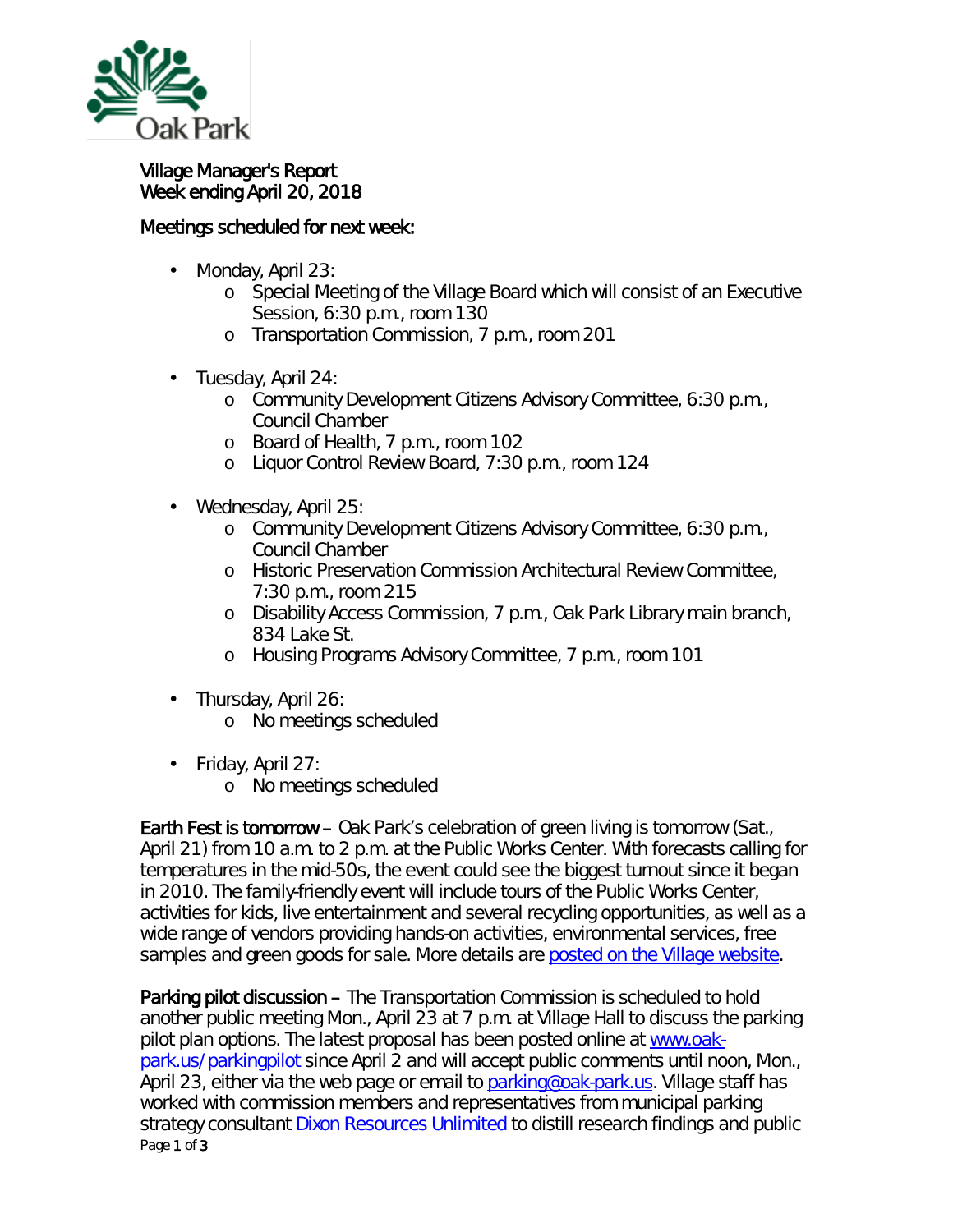

ä,

## Village Manager's Report Week ending April 20, 2018

## Meetings scheduled for next week:

- Monday, April 23: ä,
	- o Special Meeting of the Village Board which will consist of an Executive Session, 6:30 p.m., room 130
	- o Transportation Commission, 7 p.m., room 201
- Tuesday, April 24:
	- o Community Development Citizens Advisory Committee, 6:30 p.m., Council Chamber
	- o Board of Health, 7 p.m., room 102
	- o Liquor Control Review Board, 7:30 p.m., room 124
- Wednesday, April 25:
	- o Community Development Citizens Advisory Committee, 6:30 p.m., Council Chamber
	- o Historic Preservation Commission Architectural Review Committee, 7:30 p.m., room 215
	- o Disability Access Commission, 7 p.m., Oak Park Library main branch, 834 Lake St.
	- o Housing Programs Advisory Committee, 7 p.m., room 101
- $\mathbf{r}$ Thursday, April 26:
	- o No meetings scheduled
- ä, Friday, April 27:
	- o No meetings scheduled

Earth Fest is tomorrow – Oak Park's celebration of green living is tomorrow (Sat., April 21) from 10 a.m. to 2 p.m. at the Public Works Center. With forecasts calling for temperatures in the mid-50s, the event could see the biggest turnout since it began in 2010. The family-friendly event will include tours of the Public Works Center, activities for kids, live entertainment and several recycling opportunities, as well as a wide range of vendors providing hands-on activities, environmental services, free samples and green goods for sale. More details are [posted on the Village website.](https://www.oak-park.us/news/earth-fest-offers-fun-all-ages)

Page 1 of 3 Parking pilot discussion – The Transportation Commission is scheduled to hold another public meeting Mon., April 23 at 7 p.m. at Village Hall to discuss the parking pilot plan options. The latest proposal has been posted online at [www.oak](http://www.oak-park.us/parkingpilot)[park.us/parkingpilot](http://www.oak-park.us/parkingpilot) since April 2 and will accept public comments until noon, Mon., April 23, either via the web page or email to [parking@oak-park.us.](mailto:parking@oak-park.us) Village staff has worked with commission members and representatives from municipal parking strategy consultant [Dixon Resources Unlimited](http://www.dixonresourcesunlimited.com/) to distill research findings and public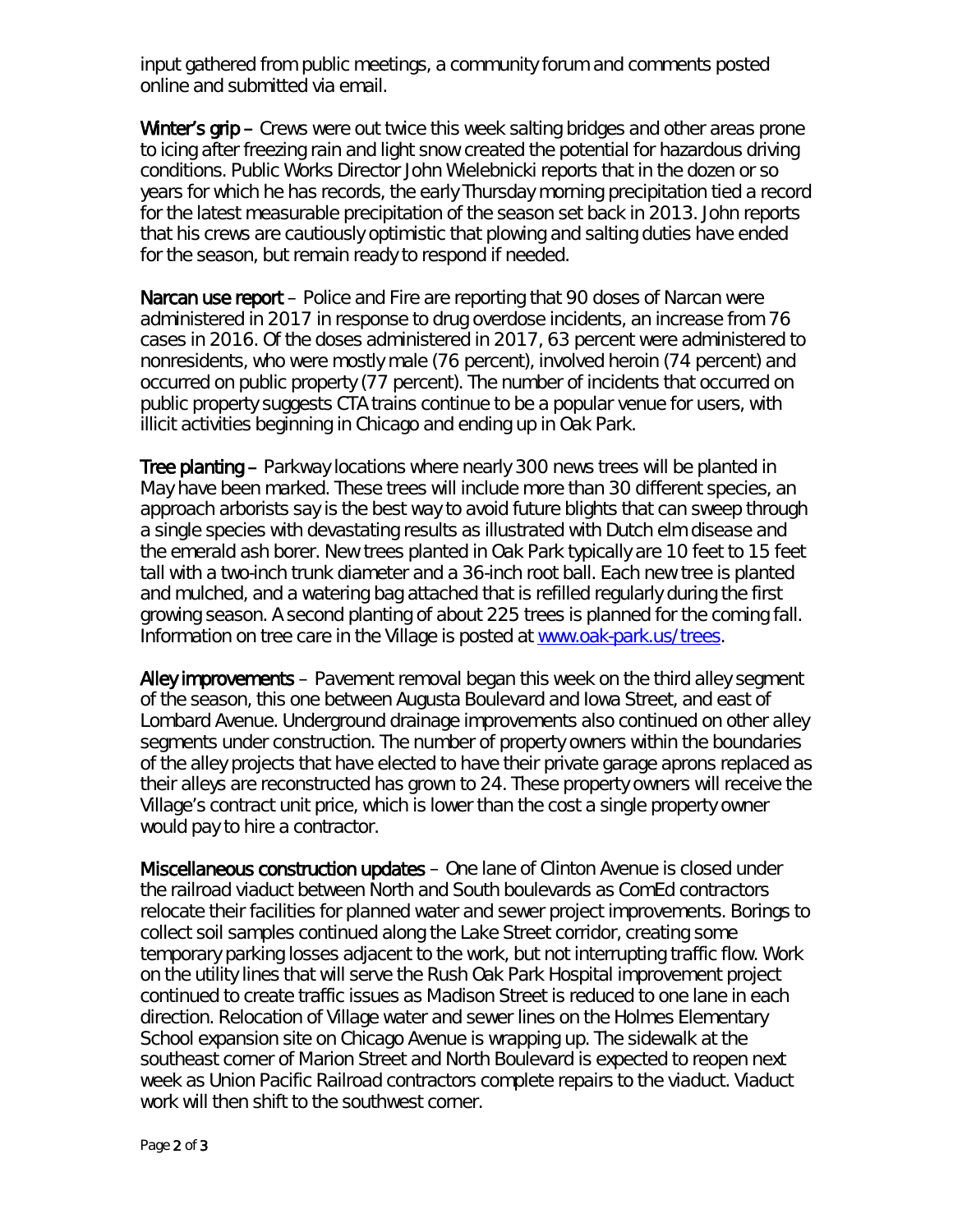input gathered from public meetings, a community forum and comments posted online and submitted via email.

Winter's grip – Crews were out twice this week salting bridges and other areas prone to icing after freezing rain and light snow created the potential for hazardous driving conditions. Public Works Director John Wielebnicki reports that in the dozen or so years for which he has records, the early Thursday morning precipitation tied a record for the latest measurable precipitation of the season set back in 2013. John reports that his crews are cautiously optimistic that plowing and salting duties have ended for the season, but remain ready to respond if needed.

Narcan use report – Police and Fire are reporting that 90 doses of Narcan were administered in 2017 in response to drug overdose incidents, an increase from 76 cases in 2016. Of the doses administered in 2017, 63 percent were administered to nonresidents, who were mostly male (76 percent), involved heroin (74 percent) and occurred on public property (77 percent). The number of incidents that occurred on public property suggests CTA trains continue to be a popular venue for users, with illicit activities beginning in Chicago and ending up in Oak Park.

Tree planting – Parkway locations where nearly 300 news trees will be planted in May have been marked. These trees will include more than 30 different species, an approach arborists say is the best way to avoid future blights that can sweep through a single species with devastating results as illustrated with Dutch elm disease and the emerald ash borer. New trees planted in Oak Park typically are 10 feet to 15 feet tall with a two-inch trunk diameter and a 36-inch root ball. Each new tree is planted and mulched, and a watering bag attached that is refilled regularly during the first growing season. A second planting of about 225 trees is planned for the coming fall. Information on tree care in the Village is posted at [www.oak-park.us/trees.](http://www.oak-park.us/trees)

Alley improvements – Pavement removal began this week on the third alley segment of the season, this one between Augusta Boulevard and Iowa Street, and east of Lombard Avenue. Underground drainage improvements also continued on other alley segments under construction. The number of property owners within the boundaries of the alley projects that have elected to have their private garage aprons replaced as their alleys are reconstructed has grown to 24. These property owners will receive the Village's contract unit price, which is lower than the cost a single property owner would pay to hire a contractor.

Miscellaneous construction updates – One lane of Clinton Avenue is closed under the railroad viaduct between North and South boulevards as ComEd contractors relocate their facilities for planned water and sewer project improvements. Borings to collect soil samples continued along the Lake Street corridor, creating some temporary parking losses adjacent to the work, but not interrupting traffic flow. Work on the utility lines that will serve the Rush Oak Park Hospital improvement project continued to create traffic issues as Madison Street is reduced to one lane in each direction. Relocation of Village water and sewer lines on the Holmes Elementary School expansion site on Chicago Avenue is wrapping up. The sidewalk at the southeast corner of Marion Street and North Boulevard is expected to reopen next week as Union Pacific Railroad contractors complete repairs to the viaduct. Viaduct work will then shift to the southwest corner.